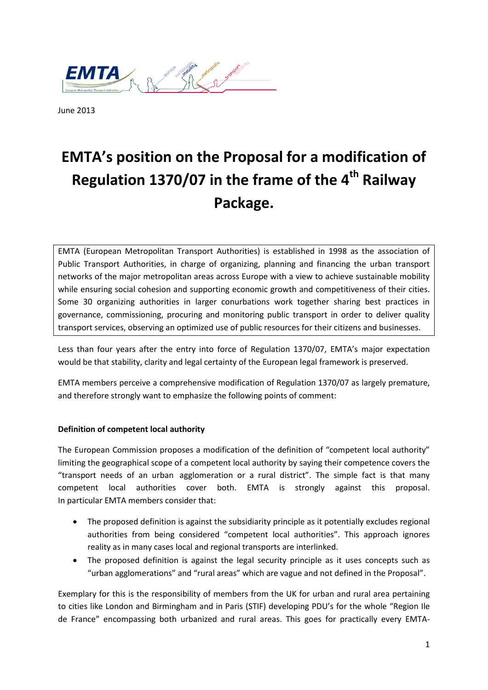

June 2013

# **EMTA's position on the Proposal for a modification of Regulation 1370/07 in the frame of the 4th Railway Package.**

EMTA (European Metropolitan Transport Authorities) is established in 1998 as the association of Public Transport Authorities, in charge of organizing, planning and financing the urban transport networks of the major metropolitan areas across Europe with a view to achieve sustainable mobility while ensuring social cohesion and supporting economic growth and competitiveness of their cities. Some 30 organizing authorities in larger conurbations work together sharing best practices in governance, commissioning, procuring and monitoring public transport in order to deliver quality transport services, observing an optimized use of public resources for their citizens and businesses.

Less than four years after the entry into force of Regulation 1370/07, EMTA's major expectation would be that stability, clarity and legal certainty of the European legal framework is preserved.

EMTA members perceive a comprehensive modification of Regulation 1370/07 as largely premature, and therefore strongly want to emphasize the following points of comment:

#### **Definition of competent local authority**

The European Commission proposes a modification of the definition of "competent local authority" limiting the geographical scope of a competent local authority by saying their competence covers the "transport needs of an urban agglomeration or a rural district". The simple fact is that many competent local authorities cover both. EMTA is strongly against this proposal. In particular EMTA members consider that:

- The proposed definition is against the subsidiarity principle as it potentially excludes regional authorities from being considered "competent local authorities". This approach ignores reality as in many cases local and regional transports are interlinked.
- The proposed definition is against the legal security principle as it uses concepts such as "urban agglomerations" and "rural areas" which are vague and not defined in the Proposal".

Exemplary for this is the responsibility of members from the UK for urban and rural area pertaining to cities like London and Birmingham and in Paris (STIF) developing PDU's for the whole "Region Ile de France" encompassing both urbanized and rural areas. This goes for practically every EMTA-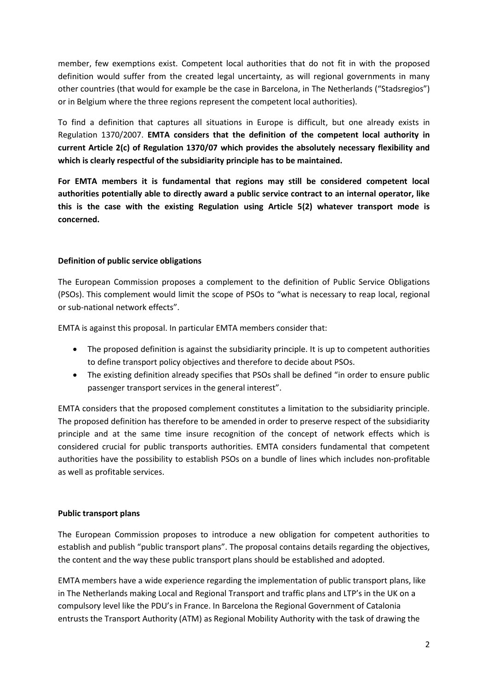member, few exemptions exist. Competent local authorities that do not fit in with the proposed definition would suffer from the created legal uncertainty, as will regional governments in many other countries (that would for example be the case in Barcelona, in The Netherlands ("Stadsregios") or in Belgium where the three regions represent the competent local authorities).

To find a definition that captures all situations in Europe is difficult, but one already exists in Regulation 1370/2007. **EMTA considers that the definition of the competent local authority in current Article 2(c) of Regulation 1370/07 which provides the absolutely necessary flexibility and which is clearly respectful of the subsidiarity principle has to be maintained.** 

**For EMTA members it is fundamental that regions may still be considered competent local authorities potentially able to directly award a public service contract to an internal operator, like this is the case with the existing Regulation using Article 5(2) whatever transport mode is concerned.**

#### **Definition of public service obligations**

The European Commission proposes a complement to the definition of Public Service Obligations (PSOs). This complement would limit the scope of PSOs to "what is necessary to reap local, regional or sub-national network effects".

EMTA is against this proposal. In particular EMTA members consider that:

- The proposed definition is against the subsidiarity principle. It is up to competent authorities to define transport policy objectives and therefore to decide about PSOs.
- The existing definition already specifies that PSOs shall be defined "in order to ensure public passenger transport services in the general interest".

EMTA considers that the proposed complement constitutes a limitation to the subsidiarity principle. The proposed definition has therefore to be amended in order to preserve respect of the subsidiarity principle and at the same time insure recognition of the concept of network effects which is considered crucial for public transports authorities. EMTA considers fundamental that competent authorities have the possibility to establish PSOs on a bundle of lines which includes non-profitable as well as profitable services.

#### **Public transport plans**

The European Commission proposes to introduce a new obligation for competent authorities to establish and publish "public transport plans". The proposal contains details regarding the objectives, the content and the way these public transport plans should be established and adopted.

EMTA members have a wide experience regarding the implementation of public transport plans, like in The Netherlands making Local and Regional Transport and traffic plans and LTP's in the UK on a compulsory level like the PDU's in France. In Barcelona the Regional Government of Catalonia entrusts the Transport Authority (ATM) as Regional Mobility Authority with the task of drawing the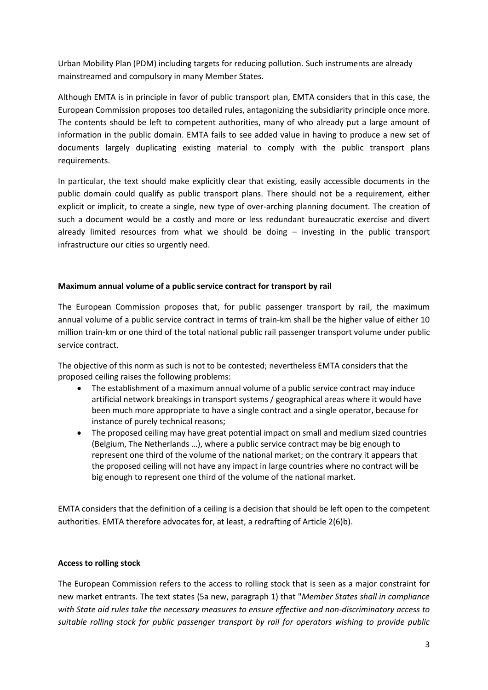Urban Mobility Plan (PDM) including targets for reducing pollution. Such instruments are already mainstreamed and compulsory in many Member States.

Although EMTA is in principle in favor of public transport plan, EMTA considers that in this case, the European Commission proposes too detailed rules, antagonizing the subsidiarity principle once more. The contents should be left to competent authorities, many of who already put a large amount of information in the public domain. EMTA fails to see added value in having to produce a new set of documents largely duplicating existing material to comply with the public transport plans requirements.

In particular, the text should make explicitly clear that existing, easily accessible documents in the public domain could qualify as public transport plans. There should not be a requirement, either explicit or implicit, to create a single, new type of over-arching planning document. The creation of such a document would be a costly and more or less redundant bureaucratic exercise and divert already limited resources from what we should be doing – investing in the public transport infrastructure our cities so urgently need.

#### **Maximum annual volume of a public service contract for transport by rail**

The European Commission proposes that, for public passenger transport by rail, the maximum annual volume of a public service contract in terms of train-km shall be the higher value of either 10 million train-km or one third of the total national public rail passenger transport volume under public service contract.

The objective of this norm as such is not to be contested; nevertheless EMTA considers that the proposed ceiling raises the following problems:

- The establishment of a maximum annual volume of a public service contract may induce artificial network breakings in transport systems / geographical areas where it would have been much more appropriate to have a single contract and a single operator, because for instance of purely technical reasons;
- The proposed ceiling may have great potential impact on small and medium sized countries (Belgium, The Netherlands …), where a public service contract may be big enough to represent one third of the volume of the national market; on the contrary it appears that the proposed ceiling will not have any impact in large countries where no contract will be big enough to represent one third of the volume of the national market.

EMTA considers that the definition of a ceiling is a decision that should be left open to the competent authorities. EMTA therefore advocates for, at least, a redrafting of Article 2(6)b).

### **Access to rolling stock**

The European Commission refers to the access to rolling stock that is seen as a major constraint for new market entrants. The text states (5a new, paragraph 1) that "*Member States shall in compliance with State aid rules take the necessary measures to ensure effective and non-discriminatory access to suitable rolling stock for public passenger transport by rail for operators wishing to provide public*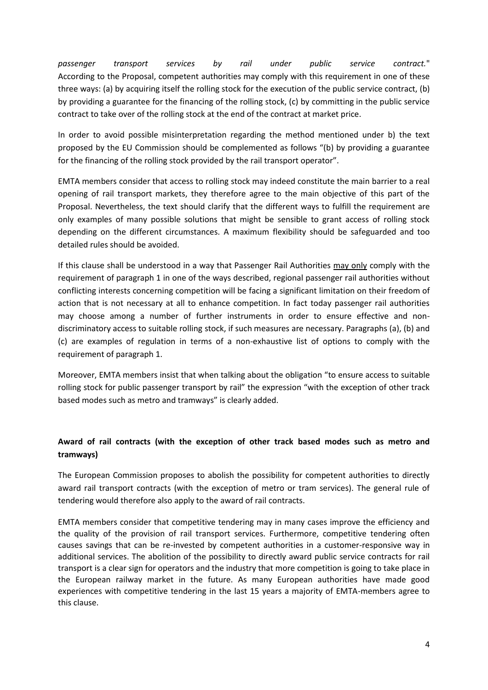*passenger transport services by rail under public service contract.*" According to the Proposal, competent authorities may comply with this requirement in one of these three ways: (a) by acquiring itself the rolling stock for the execution of the public service contract, (b) by providing a guarantee for the financing of the rolling stock, (c) by committing in the public service contract to take over of the rolling stock at the end of the contract at market price.

In order to avoid possible misinterpretation regarding the method mentioned under b) the text proposed by the EU Commission should be complemented as follows "(b) by providing a guarantee for the financing of the rolling stock provided by the rail transport operator".

EMTA members consider that access to rolling stock may indeed constitute the main barrier to a real opening of rail transport markets, they therefore agree to the main objective of this part of the Proposal. Nevertheless, the text should clarify that the different ways to fulfill the requirement are only examples of many possible solutions that might be sensible to grant access of rolling stock depending on the different circumstances. A maximum flexibility should be safeguarded and too detailed rules should be avoided.

If this clause shall be understood in a way that Passenger Rail Authorities may only comply with the requirement of paragraph 1 in one of the ways described, regional passenger rail authorities without conflicting interests concerning competition will be facing a significant limitation on their freedom of action that is not necessary at all to enhance competition. In fact today passenger rail authorities may choose among a number of further instruments in order to ensure effective and nondiscriminatory access to suitable rolling stock, if such measures are necessary. Paragraphs (a), (b) and (c) are examples of regulation in terms of a non-exhaustive list of options to comply with the requirement of paragraph 1.

Moreover, EMTA members insist that when talking about the obligation "to ensure access to suitable rolling stock for public passenger transport by rail" the expression "with the exception of other track based modes such as metro and tramways" is clearly added.

## **Award of rail contracts (with the exception of other track based modes such as metro and tramways)**

The European Commission proposes to abolish the possibility for competent authorities to directly award rail transport contracts (with the exception of metro or tram services). The general rule of tendering would therefore also apply to the award of rail contracts.

EMTA members consider that competitive tendering may in many cases improve the efficiency and the quality of the provision of rail transport services. Furthermore, competitive tendering often causes savings that can be re-invested by competent authorities in a customer-responsive way in additional services. The abolition of the possibility to directly award public service contracts for rail transport is a clear sign for operators and the industry that more competition is going to take place in the European railway market in the future. As many European authorities have made good experiences with competitive tendering in the last 15 years a majority of EMTA-members agree to this clause.